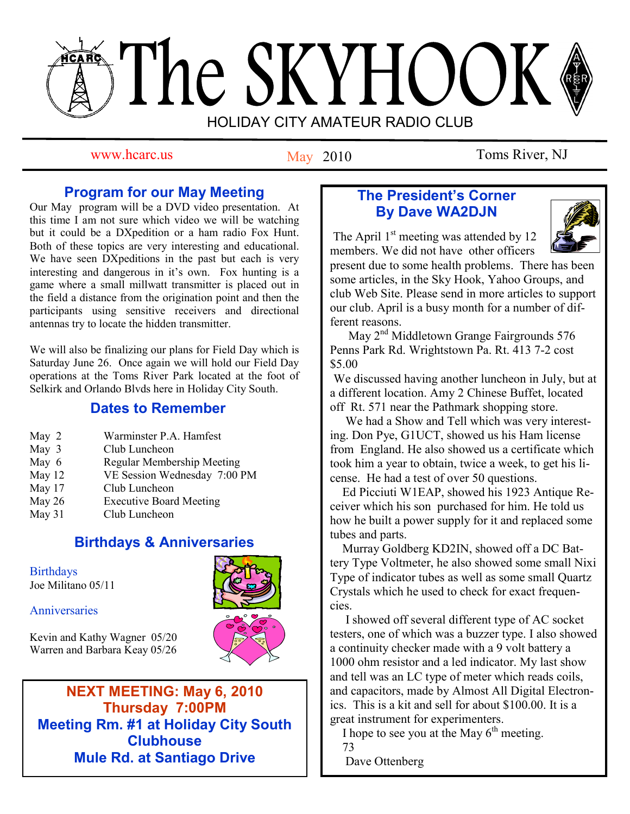# The SKYHOOK HOLIDAY CITY AMATEUR RADIO CLUB

May 2010

www.hcarc.us May 2010 Toms River, NJ

# **Program for our May Meeting**

Our May program will be a DVD video presentation. At this time I am not sure which video we will be watching but it could be a DXpedition or a ham radio Fox Hunt. Both of these topics are very interesting and educational. We have seen DXpeditions in the past but each is very interesting and dangerous in it's own. Fox hunting is a game where a small millwatt transmitter is placed out in the field a distance from the origination point and then the participants using sensitive receivers and directional antennas try to locate the hidden transmitter.

We will also be finalizing our plans for Field Day which is Saturday June 26. Once again we will hold our Field Day operations at the Toms River Park located at the foot of Selkirk and Orlando Blvds here in Holiday City South.

# **Dates to Remember**

| May 2  | Warminster P.A. Hamfest           |  |
|--------|-----------------------------------|--|
| May 3  | Club Luncheon                     |  |
| May 6  | <b>Regular Membership Meeting</b> |  |
| May 12 | VE Session Wednesday 7:00 PM      |  |
| May 17 | Club Luncheon                     |  |
| May 26 | <b>Executive Board Meeting</b>    |  |
| May 31 | Club Luncheon                     |  |
|        |                                   |  |

# **Birthdays & Anniversaries**

**Birthdays** Joe Militano 05/11

**Anniversaries** 

Kevin and Kathy Wagner 05/20 Warren and Barbara Keay 05/26



**NEXT MEETING: May 6, 2010 Thursday 7:00PM Meeting Rm. #1 at Holiday City South Clubhouse Mule Rd. at Santiago Drive**

# **The President's Corner By Dave WA2DJN**

The April  $1<sup>st</sup>$  meeting was attended by 12 members. We did not have other officers



present due to some health problems. There has been some articles, in the Sky Hook, Yahoo Groups, and club Web Site. Please send in more articles to support our club. April is a busy month for a number of different reasons.

May 2<sup>nd</sup> Middletown Grange Fairgrounds 576 Penns Park Rd. Wrightstown Pa. Rt. 413 7-2 cost \$5.00

We discussed having another luncheon in July, but at a different location. Amy 2 Chinese Buffet, located off Rt. 571 near the Pathmark shopping store.

 We had a Show and Tell which was very interesting. Don Pye, G1UCT, showed us his Ham license from England. He also showed us a certificate which took him a year to obtain, twice a week, to get his license. He had a test of over 50 questions.

 Ed Picciuti W1EAP, showed his 1923 Antique Receiver which his son purchased for him. He told us how he built a power supply for it and replaced some tubes and parts.

 Murray Goldberg KD2IN, showed off a DC Battery Type Voltmeter, he also showed some small Nixi Type of indicator tubes as well as some small Quartz Crystals which he used to check for exact frequencies.

 I showed off several different type of AC socket testers, one of which was a buzzer type. I also showed a continuity checker made with a 9 volt battery a 1000 ohm resistor and a led indicator. My last show and tell was an LC type of meter which reads coils, and capacitors, made by Almost All Digital Electronics. This is a kit and sell for about \$100.00. It is a great instrument for experimenters.

I hope to see you at the May  $6<sup>th</sup>$  meeting.

 73 Dave Ottenberg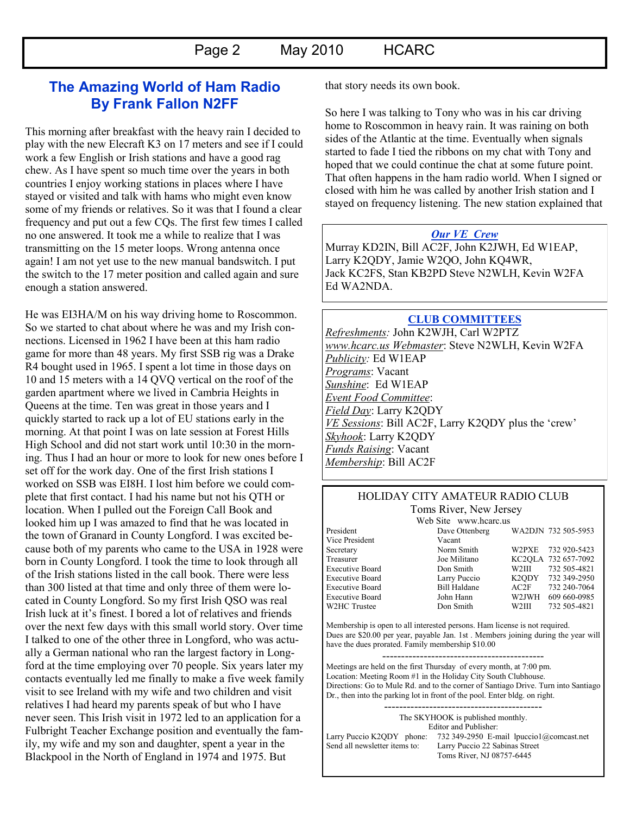## **The Amazing World of Ham Radio By Frank Fallon N2FF**

This morning after breakfast with the heavy rain I decided to play with the new Elecraft K3 on 17 meters and see if I could work a few English or Irish stations and have a good rag chew. As I have spent so much time over the years in both countries I enjoy working stations in places where I have stayed or visited and talk with hams who might even know some of my friends or relatives. So it was that I found a clear frequency and put out a few CQs. The first few times I called no one answered. It took me a while to realize that I was transmitting on the 15 meter loops. Wrong antenna once again! I am not yet use to the new manual bandswitch. I put the switch to the 17 meter position and called again and sure enough a station answered.

He was EI3HA/M on his way driving home to Roscommon. So we started to chat about where he was and my Irish connections. Licensed in 1962 I have been at this ham radio game for more than 48 years. My first SSB rig was a Drake R4 bought used in 1965. I spent a lot time in those days on 10 and 15 meters with a 14 QVQ vertical on the roof of the garden apartment where we lived in Cambria Heights in Queens at the time. Ten was great in those years and I quickly started to rack up a lot of EU stations early in the morning. At that point I was on late session at Forest Hills High School and did not start work until 10:30 in the morning. Thus I had an hour or more to look for new ones before I set off for the work day. One of the first Irish stations I worked on SSB was EI8H. I lost him before we could complete that first contact. I had his name but not his QTH or location. When I pulled out the Foreign Call Book and looked him up I was amazed to find that he was located in the town of Granard in County Longford. I was excited because both of my parents who came to the USA in 1928 were born in County Longford. I took the time to look through all of the Irish stations listed in the call book. There were less than 300 listed at that time and only three of them were located in County Longford. So my first Irish QSO was real Irish luck at it"s finest. I bored a lot of relatives and friends over the next few days with this small world story. Over time I talked to one of the other three in Longford, who was actually a German national who ran the largest factory in Longford at the time employing over 70 people. Six years later my contacts eventually led me finally to make a five week family visit to see Ireland with my wife and two children and visit relatives I had heard my parents speak of but who I have never seen. This Irish visit in 1972 led to an application for a Fulbright Teacher Exchange position and eventually the family, my wife and my son and daughter, spent a year in the Blackpool in the North of England in 1974 and 1975. But

that story needs its own book.

So here I was talking to Tony who was in his car driving home to Roscommon in heavy rain. It was raining on both sides of the Atlantic at the time. Eventually when signals started to fade I tied the ribbons on my chat with Tony and hoped that we could continue the chat at some future point. That often happens in the ham radio world. When I signed or closed with him he was called by another Irish station and I stayed on frequency listening. The new station explained that

#### *Our VE Crew*

Murray KD2IN, Bill AC2F, John K2JWH, Ed W1EAP, Larry K2QDY, Jamie W2QO, John KQ4WR, Jack KC2FS, Stan KB2PD Steve N2WLH, Kevin W2FA Ed WA2NDA.

#### **CLUB COMMITTEES** *Refreshments:* John K2WJH, Carl W2PTZ *www.hcarc.us Webmaster*: Steve N2WLH, Kevin W2FA *Publicity:* Ed W1EAP *Programs*: Vacant *Sunshine*: Ed W1EAP *Event Food Committee*: *Field Day*: Larry K2QDY *VE Sessions*: Bill AC2F, Larry K2QDY plus the "crew" *Skyhook*: Larry K2QDY *Funds Raising*: Vacant *Membership*: Bill AC2F

#### HOLIDAY CITY AMATEUR RADIO CLUB Toms River, New Jersey

Vice President Vacant

Web Site www.hcarc.us<br>Dave Ottenberg President Dave Ottenberg WA2DJN 732 505-5953 Secretary Norm Smith W2PXE 732 920-5423 Treasurer Joe Militano KC2QLA 732 657-7092 Executive Board Don Smith W2III 732 505-4821 Executive Board Larry Puccio K2QDY 732 349-2950 Executive Board Bill Haldane AC2F 732 240-7064 Executive Board John Hann W2JWH 609 660-0985 W2HC Trustee  $\sim$  Don Smith W2III 732 505-4821

Membership is open to all interested persons. Ham license is not required. Dues are \$20.00 per year, payable Jan. 1st . Members joining during the year will have the dues prorated. Family membership \$10.00

------------------------------------------- Meetings are held on the first Thursday of every month, at 7:00 pm. Location: Meeting Room #1 in the Holiday City South Clubhouse. Directions: Go to Mule Rd. and to the corner of Santiago Drive. Turn into Santiago Dr., then into the parking lot in front of the pool. Enter bldg. on right.

The SKYHOOK is published monthly. Editor and Publisher: Larry Puccio K2QDY phone: 732 349-2950 E-mail lpuccio1@comcast.net<br>Send all newsletter items to: Larry Puccio 22 Sabinas Street Larry Puccio 22 Sabinas Street Toms River, NJ 08757-6445

------------------------------------------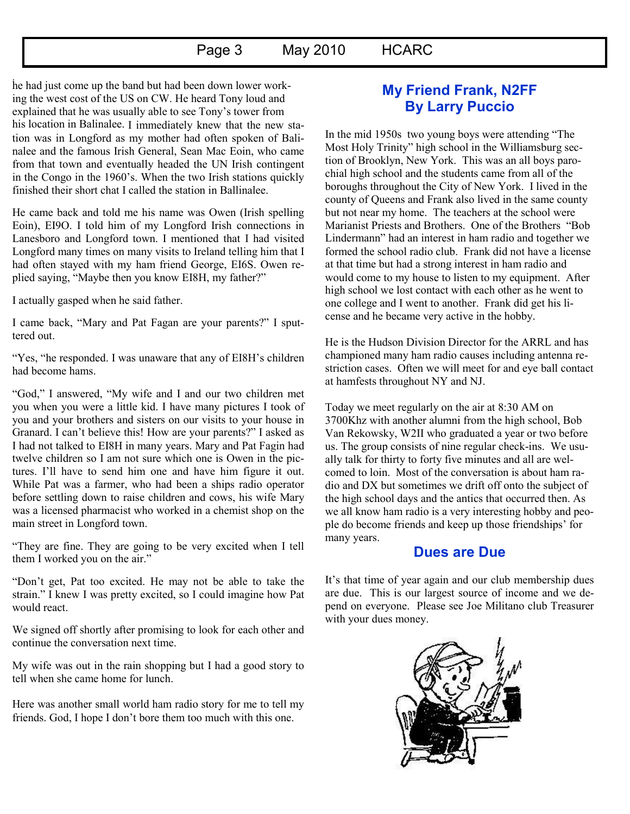## Page 3 May 2010 HCARC

he had just come up the band but had been down lower work-. ing the west cost of the US on CW. He heard Tony loud and explained that he was usually able to see Tony"s tower from his location in Balinalee. I immediately knew that the new station was in Longford as my mother had often spoken of Balinalee and the famous Irish General, Sean Mac Eoin, who came from that town and eventually headed the UN Irish contingent in the Congo in the 1960"s. When the two Irish stations quickly finished their short chat I called the station in Ballinalee.

He came back and told me his name was Owen (Irish spelling Eoin), EI9O. I told him of my Longford Irish connections in Lanesboro and Longford town. I mentioned that I had visited Longford many times on many visits to Ireland telling him that I had often stayed with my ham friend George, EI6S. Owen replied saying, "Maybe then you know EI8H, my father?"

I actually gasped when he said father.

I came back, "Mary and Pat Fagan are your parents?" I sputtered out.

"Yes, "he responded. I was unaware that any of EI8H"s children had become hams.

"God," I answered, "My wife and I and our two children met you when you were a little kid. I have many pictures I took of you and your brothers and sisters on our visits to your house in Granard. I can"t believe this! How are your parents?" I asked as I had not talked to EI8H in many years. Mary and Pat Fagin had twelve children so I am not sure which one is Owen in the pictures. I"ll have to send him one and have him figure it out. While Pat was a farmer, who had been a ships radio operator before settling down to raise children and cows, his wife Mary was a licensed pharmacist who worked in a chemist shop on the main street in Longford town.

"They are fine. They are going to be very excited when I tell them I worked you on the air."

"Don"t get, Pat too excited. He may not be able to take the strain." I knew I was pretty excited, so I could imagine how Pat would react.

We signed off shortly after promising to look for each other and continue the conversation next time.

My wife was out in the rain shopping but I had a good story to tell when she came home for lunch.

Here was another small world ham radio story for me to tell my friends. God, I hope I don"t bore them too much with this one.

# **My Friend Frank, N2FF By Larry Puccio**

In the mid 1950s two young boys were attending "The Most Holy Trinity" high school in the Williamsburg section of Brooklyn, New York. This was an all boys parochial high school and the students came from all of the boroughs throughout the City of New York. I lived in the county of Queens and Frank also lived in the same county but not near my home. The teachers at the school were Marianist Priests and Brothers. One of the Brothers "Bob Lindermann" had an interest in ham radio and together we formed the school radio club. Frank did not have a license at that time but had a strong interest in ham radio and would come to my house to listen to my equipment. After high school we lost contact with each other as he went to one college and I went to another. Frank did get his license and he became very active in the hobby.

He is the Hudson Division Director for the ARRL and has championed many ham radio causes including antenna restriction cases. Often we will meet for and eye ball contact at hamfests throughout NY and NJ.

Today we meet regularly on the air at 8:30 AM on 3700Khz with another alumni from the high school, Bob Van Rekowsky, W2II who graduated a year or two before us. The group consists of nine regular check-ins. We usually talk for thirty to forty five minutes and all are welcomed to loin. Most of the conversation is about ham radio and DX but sometimes we drift off onto the subject of the high school days and the antics that occurred then. As we all know ham radio is a very interesting hobby and people do become friends and keep up those friendships" for many years.

## **Dues are Due**

It's that time of year again and our club membership dues are due. This is our largest source of income and we depend on everyone. Please see Joe Militano club Treasurer with your dues money.